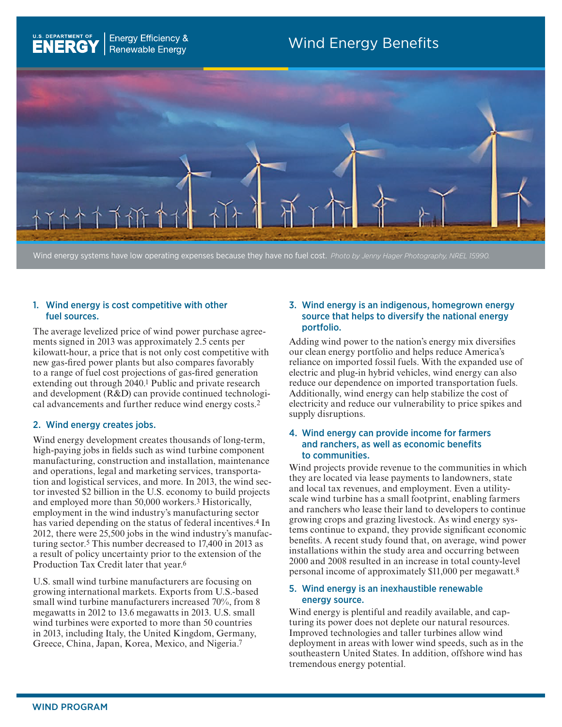**Energy Efficiency & Renewable Energy** 

# Wind Energy Benefits



Wind energy systems have low operating expenses because they have no fuel cost. *Photo by Jenny Hager Photography, NREL 15990.*

#### 1. Wind energy is cost competitive with other fuel sources.

The average levelized price of wind power purchase agreements signed in 2013 was approximately 2.5 cents per kilowatt-hour, a price that is not only cost competitive with new gas-fired power plants but also compares favorably to a range of fuel cost projections of gas-fired generation extending out through 2040.1 Public and private research and development (R&D) can provide continued technological advancements and further reduce wind energy costs.2

#### 2. Wind energy creates jobs.

Wind energy development creates thousands of long-term, high-paying jobs in fields such as wind turbine component manufacturing, construction and installation, maintenance and operations, legal and marketing services, transportation and logistical services, and more. In 2013, the wind sector invested \$2 billion in the U.S. economy to build projects and employed more than 50,000 workers.3 Historically, employment in the wind industry's manufacturing sector has varied depending on the status of federal incentives.<sup>4</sup> In 2012, there were 25,500 jobs in the wind industry's manufacturing sector.5 This number decreased to 17,400 in 2013 as a result of policy uncertainty prior to the extension of the Production Tax Credit later that year.6

U.S. small wind turbine manufacturers are focusing on growing international markets. Exports from U.S.-based small wind turbine manufacturers increased 70%, from 8 megawatts in 2012 to 13.6 megawatts in 2013. U.S. small wind turbines were exported to more than 50 countries in 2013, including Italy, the United Kingdom, Germany, Greece, China, Japan, Korea, Mexico, and Nigeria.7

#### 3. Wind energy is an indigenous, homegrown energy source that helps to diversify the national energy portfolio.

Adding wind power to the nation's energy mix diversifies our clean energy portfolio and helps reduce America's reliance on imported fossil fuels. With the expanded use of electric and plug-in hybrid vehicles, wind energy can also reduce our dependence on imported transportation fuels. Additionally, wind energy can help stabilize the cost of electricity and reduce our vulnerability to price spikes and supply disruptions.

#### 4. Wind energy can provide income for farmers and ranchers, as well as economic benefits to communities.

Wind projects provide revenue to the communities in which they are located via lease payments to landowners, state and local tax revenues, and employment. Even a utilityscale wind turbine has a small footprint, enabling farmers and ranchers who lease their land to developers to continue growing crops and grazing livestock. As wind energy systems continue to expand, they provide significant economic benefits. A recent study found that, on average, wind power installations within the study area and occurring between 2000 and 2008 resulted in an increase in total county-level personal income of approximately \$11,000 per megawatt.8

#### 5. Wind energy is an inexhaustible renewable energy source.

Wind energy is plentiful and readily available, and capturing its power does not deplete our natural resources. Improved technologies and taller turbines allow wind deployment in areas with lower wind speeds, such as in the southeastern United States. In addition, offshore wind has tremendous energy potential.